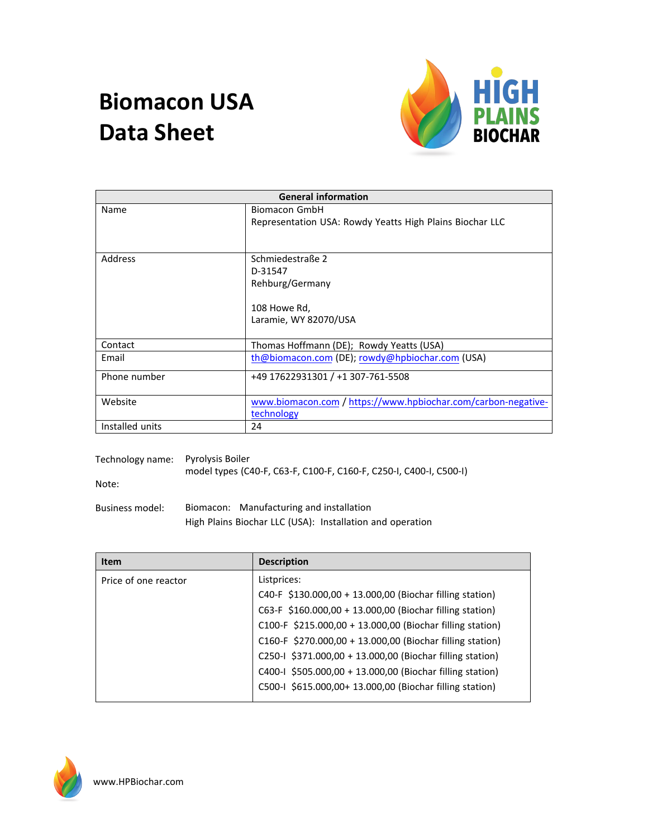## **Biomacon USA Data Sheet**



| <b>General information</b> |                                                               |  |
|----------------------------|---------------------------------------------------------------|--|
| Name                       | Biomacon GmbH                                                 |  |
|                            | Representation USA: Rowdy Yeatts High Plains Biochar LLC      |  |
|                            |                                                               |  |
|                            |                                                               |  |
| Address                    | Schmiedestraße 2                                              |  |
|                            | D-31547                                                       |  |
|                            | Rehburg/Germany                                               |  |
|                            |                                                               |  |
|                            | 108 Howe Rd,                                                  |  |
|                            | Laramie, WY 82070/USA                                         |  |
|                            |                                                               |  |
| Contact                    | Thomas Hoffmann (DE); Rowdy Yeatts (USA)                      |  |
| Email                      | th@biomacon.com (DE); rowdy@hpbiochar.com (USA)               |  |
| Phone number               | +49 17622931301 / +1 307-761-5508                             |  |
|                            |                                                               |  |
| Website                    | www.biomacon.com / https://www.hpbiochar.com/carbon-negative- |  |
|                            | technology                                                    |  |
| Installed units            | 24                                                            |  |

| Technology name: | Pyrolysis Boiler<br>model types (C40-F, C63-F, C100-F, C160-F, C250-I, C400-I, C500-I)                |
|------------------|-------------------------------------------------------------------------------------------------------|
| Note:            |                                                                                                       |
| Business model:  | Biomacon: Manufacturing and installation<br>High Plains Biochar LLC (USA): Installation and operation |

| <b>Item</b>          | <b>Description</b>                                        |
|----------------------|-----------------------------------------------------------|
| Price of one reactor | Listprices:                                               |
|                      | C40-F \$130.000,00 + 13.000,00 (Biochar filling station)  |
|                      | C63-F \$160.000,00 + 13.000,00 (Biochar filling station)  |
|                      | C100-F \$215.000,00 + 13.000,00 (Biochar filling station) |
|                      | C160-F \$270.000,00 + 13.000,00 (Biochar filling station) |
|                      | C250-I \$371.000,00 + 13.000,00 (Biochar filling station) |
|                      | C400-I \$505.000,00 + 13.000,00 (Biochar filling station) |
|                      | C500-I \$615.000,00+ 13.000,00 (Biochar filling station)  |

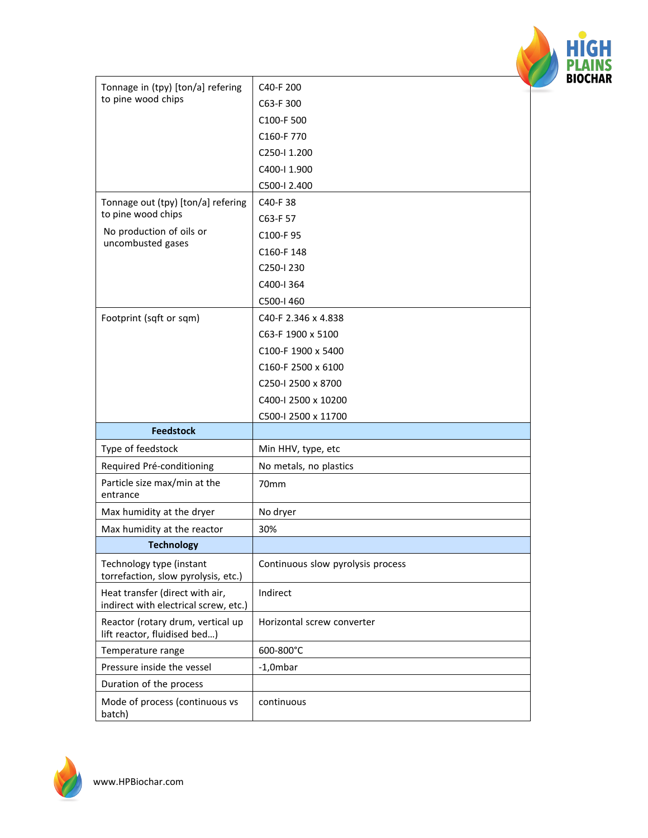

| Tonnage in (tpy) [ton/a] refering<br>to pine wood chips                  | C40-F 200                         |  |
|--------------------------------------------------------------------------|-----------------------------------|--|
|                                                                          | C63-F 300                         |  |
|                                                                          | C100-F 500                        |  |
|                                                                          | C160-F 770                        |  |
|                                                                          | C <sub>250</sub> -11.200          |  |
|                                                                          | C400-I 1.900                      |  |
|                                                                          | C500-I 2.400                      |  |
| Tonnage out (tpy) [ton/a] refering                                       | C <sub>40</sub> -F <sub>38</sub>  |  |
| to pine wood chips                                                       | C63-F 57                          |  |
| No production of oils or                                                 | C100-F95                          |  |
| uncombusted gases                                                        | C160-F148                         |  |
|                                                                          | C250-I 230                        |  |
|                                                                          | C400-I 364                        |  |
|                                                                          | C500-I 460                        |  |
| Footprint (sqft or sqm)                                                  | C40-F 2.346 x 4.838               |  |
|                                                                          | C63-F 1900 x 5100                 |  |
|                                                                          | C100-F 1900 x 5400                |  |
|                                                                          | C160-F 2500 x 6100                |  |
|                                                                          | C250-I 2500 x 8700                |  |
|                                                                          | C400-I 2500 x 10200               |  |
|                                                                          | C500-I 2500 x 11700               |  |
| <b>Feedstock</b>                                                         |                                   |  |
| Type of feedstock                                                        | Min HHV, type, etc                |  |
| Required Pré-conditioning                                                | No metals, no plastics            |  |
| Particle size max/min at the<br>entrance                                 | 70mm                              |  |
| Max humidity at the dryer                                                | No dryer                          |  |
| Max humidity at the reactor                                              | 30%                               |  |
| <b>Technology</b>                                                        |                                   |  |
| Technology type (instant<br>torrefaction, slow pyrolysis, etc.)          | Continuous slow pyrolysis process |  |
| Heat transfer (direct with air,<br>indirect with electrical screw, etc.) | Indirect                          |  |
| Reactor (rotary drum, vertical up<br>lift reactor, fluidised bed)        | Horizontal screw converter        |  |
| Temperature range                                                        | 600-800°C                         |  |
| Pressure inside the vessel                                               | $-1,0$ mbar                       |  |
| Duration of the process                                                  |                                   |  |
| Mode of process (continuous vs                                           |                                   |  |